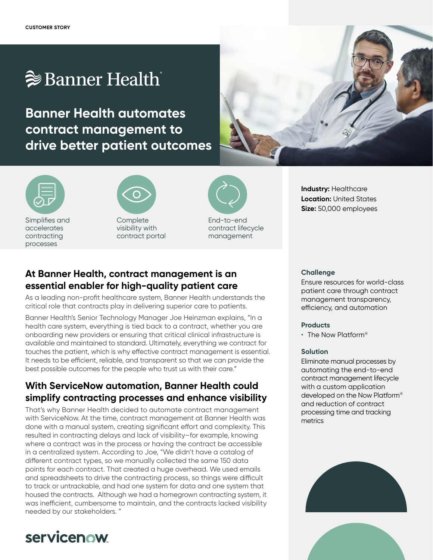# $\geqslant$  Banner Health

**Banner Health automates contract management to drive better patient outcomes**



**Industry:** Healthcare **Location:** United States **Size:** 50,000 employees

Simplifies and accelerates contracting processes



**Complete** visibility with contract portal



End-to-end contract lifecycle management

### **At Banner Health, contract management is an essential enabler for high-quality patient care**

As a leading non-profit healthcare system, Banner Health understands the critical role that contracts play in delivering superior care to patients.

Banner Health's Senior Technology Manager Joe Heinzman explains, "In a health care system, everything is tied back to a contract, whether you are onboarding new providers or ensuring that critical clinical infrastructure is available and maintained to standard. Ultimately, everything we contract for touches the patient, which is why effective contract management is essential. It needs to be efficient, reliable, and transparent so that we can provide the best possible outcomes for the people who trust us with their care."

## **With ServiceNow automation, Banner Health could simplify contracting processes and enhance visibility**

That's why Banner Health decided to automate contract management with ServiceNow. At the time, contract management at Banner Health was done with a manual system, creating significant effort and complexity. This resulted in contracting delays and lack of visibility–for example, knowing where a contract was in the process or having the contract be accessible in a centralized system. According to Joe, "We didn't have a catalog of different contract types, so we manually collected the same 150 data points for each contract. That created a huge overhead. We used emails and spreadsheets to drive the contracting process, so things were difficult to track or untrackable, and had one system for data and one system that housed the contracts. Although we had a homegrown contracting system, it was inefficient, cumbersome to maintain, and the contracts lacked visibility needed by our stakeholders. "

## servicenow

#### **Challenge**

Ensure resources for world-class patient care through contract management transparency, efficiency, and automation

#### **Products**

• The Now Platform®

#### **Solution**

Eliminate manual processes by automating the end-to-end contract management lifecycle with a custom application developed on the Now Platform® and reduction of contract processing time and tracking metrics